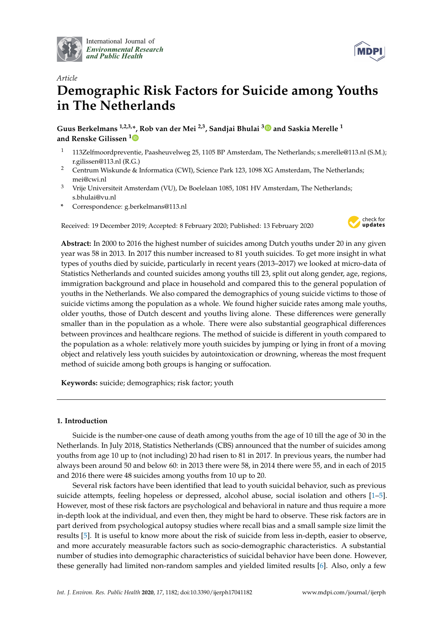

International Journal of *[Environmental Research](http://www.mdpi.com/journal/ijerph) and Public Health*



# *Article* **Demographic Risk Factors for Suicide among Youths in The Netherlands**

**Guus Berkelmans 1,2,3,\*, Rob van der Mei 2,3, Sandjai Bhulai [3](https://orcid.org/0000-0003-1124-8821) and Saskia Merelle <sup>1</sup> and Renske Gilissen [1](https://orcid.org/0000-0002-8009-6326)**

- <sup>1</sup> 113Zelfmoordpreventie, Paasheuvelweg 25, 1105 BP Amsterdam, The Netherlands; s.merelle@113.nl (S.M.); r.gilissen@113.nl (R.G.)
- <sup>2</sup> Centrum Wiskunde & Informatica (CWI), Science Park 123, 1098 XG Amsterdam, The Netherlands; mei@cwi.nl
- <sup>3</sup> Vrije Universiteit Amsterdam (VU), De Boelelaan 1085, 1081 HV Amsterdam, The Netherlands; s.bhulai@vu.nl
- **\*** Correspondence: g.berkelmans@113.nl

Received: 19 December 2019; Accepted: 8 February 2020; Published: 13 February 2020



**Abstract:** In 2000 to 2016 the highest number of suicides among Dutch youths under 20 in any given year was 58 in 2013. In 2017 this number increased to 81 youth suicides. To get more insight in what types of youths died by suicide, particularly in recent years (2013–2017) we looked at micro-data of Statistics Netherlands and counted suicides among youths till 23, split out along gender, age, regions, immigration background and place in household and compared this to the general population of youths in the Netherlands. We also compared the demographics of young suicide victims to those of suicide victims among the population as a whole. We found higher suicide rates among male youths, older youths, those of Dutch descent and youths living alone. These differences were generally smaller than in the population as a whole. There were also substantial geographical differences between provinces and healthcare regions. The method of suicide is different in youth compared to the population as a whole: relatively more youth suicides by jumping or lying in front of a moving object and relatively less youth suicides by autointoxication or drowning, whereas the most frequent method of suicide among both groups is hanging or suffocation.

**Keywords:** suicide; demographics; risk factor; youth

# **1. Introduction**

Suicide is the number-one cause of death among youths from the age of 10 till the age of 30 in the Netherlands. In July 2018, Statistics Netherlands (CBS) announced that the number of suicides among youths from age 10 up to (not including) 20 had risen to 81 in 2017. In previous years, the number had always been around 50 and below 60: in 2013 there were 58, in 2014 there were 55, and in each of 2015 and 2016 there were 48 suicides among youths from 10 up to 20.

Several risk factors have been identified that lead to youth suicidal behavior, such as previous suicide attempts, feeling hopeless or depressed, alcohol abuse, social isolation and others [\[1](#page-9-0)[–5\]](#page-9-1). However, most of these risk factors are psychological and behavioral in nature and thus require a more in-depth look at the individual, and even then, they might be hard to observe. These risk factors are in part derived from psychological autopsy studies where recall bias and a small sample size limit the results [\[5\]](#page-9-1). It is useful to know more about the risk of suicide from less in-depth, easier to observe, and more accurately measurable factors such as socio-demographic characteristics. A substantial number of studies into demographic characteristics of suicidal behavior have been done. However, these generally had limited non-random samples and yielded limited results [\[6\]](#page-9-2). Also, only a few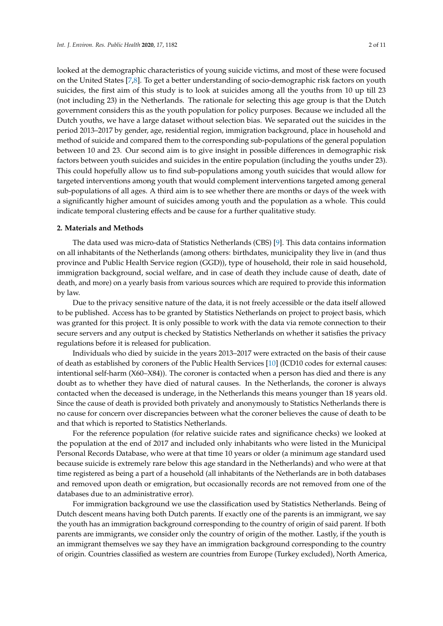looked at the demographic characteristics of young suicide victims, and most of these were focused on the United States [\[7,](#page-9-3)[8\]](#page-9-4). To get a better understanding of socio-demographic risk factors on youth suicides, the first aim of this study is to look at suicides among all the youths from 10 up till 23 (not including 23) in the Netherlands. The rationale for selecting this age group is that the Dutch government considers this as the youth population for policy purposes. Because we included all the Dutch youths, we have a large dataset without selection bias. We separated out the suicides in the period 2013–2017 by gender, age, residential region, immigration background, place in household and method of suicide and compared them to the corresponding sub-populations of the general population between 10 and 23. Our second aim is to give insight in possible differences in demographic risk factors between youth suicides and suicides in the entire population (including the youths under 23). This could hopefully allow us to find sub-populations among youth suicides that would allow for targeted interventions among youth that would complement interventions targeted among general sub-populations of all ages. A third aim is to see whether there are months or days of the week with a significantly higher amount of suicides among youth and the population as a whole. This could indicate temporal clustering effects and be cause for a further qualitative study.

#### **2. Materials and Methods**

The data used was micro-data of Statistics Netherlands (CBS) [\[9\]](#page-9-5). This data contains information on all inhabitants of the Netherlands (among others: birthdates, municipality they live in (and thus province and Public Health Service region (GGD)), type of household, their role in said household, immigration background, social welfare, and in case of death they include cause of death, date of death, and more) on a yearly basis from various sources which are required to provide this information by law.

Due to the privacy sensitive nature of the data, it is not freely accessible or the data itself allowed to be published. Access has to be granted by Statistics Netherlands on project to project basis, which was granted for this project. It is only possible to work with the data via remote connection to their secure servers and any output is checked by Statistics Netherlands on whether it satisfies the privacy regulations before it is released for publication.

Individuals who died by suicide in the years 2013–2017 were extracted on the basis of their cause of death as established by coroners of the Public Health Services [\[10\]](#page-9-6) (ICD10 codes for external causes: intentional self-harm (X60–X84)). The coroner is contacted when a person has died and there is any doubt as to whether they have died of natural causes. In the Netherlands, the coroner is always contacted when the deceased is underage, in the Netherlands this means younger than 18 years old. Since the cause of death is provided both privately and anonymously to Statistics Netherlands there is no cause for concern over discrepancies between what the coroner believes the cause of death to be and that which is reported to Statistics Netherlands.

For the reference population (for relative suicide rates and significance checks) we looked at the population at the end of 2017 and included only inhabitants who were listed in the Municipal Personal Records Database, who were at that time 10 years or older (a minimum age standard used because suicide is extremely rare below this age standard in the Netherlands) and who were at that time registered as being a part of a household (all inhabitants of the Netherlands are in both databases and removed upon death or emigration, but occasionally records are not removed from one of the databases due to an administrative error).

For immigration background we use the classification used by Statistics Netherlands. Being of Dutch descent means having both Dutch parents. If exactly one of the parents is an immigrant, we say the youth has an immigration background corresponding to the country of origin of said parent. If both parents are immigrants, we consider only the country of origin of the mother. Lastly, if the youth is an immigrant themselves we say they have an immigration background corresponding to the country of origin. Countries classified as western are countries from Europe (Turkey excluded), North America,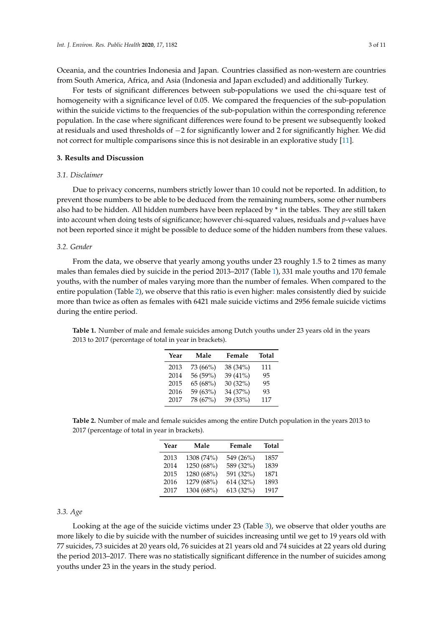Oceania, and the countries Indonesia and Japan. Countries classified as non-western are countries from South America, Africa, and Asia (Indonesia and Japan excluded) and additionally Turkey.

For tests of significant differences between sub-populations we used the chi-square test of homogeneity with a significance level of 0.05. We compared the frequencies of the sub-population within the suicide victims to the frequencies of the sub-population within the corresponding reference population. In the case where significant differences were found to be present we subsequently looked at residuals and used thresholds of −2 for significantly lower and 2 for significantly higher. We did not correct for multiple comparisons since this is not desirable in an explorative study [\[11\]](#page-9-7).

### **3. Results and Discussion**

# *3.1. Disclaimer*

Due to privacy concerns, numbers strictly lower than 10 could not be reported. In addition, to prevent those numbers to be able to be deduced from the remaining numbers, some other numbers also had to be hidden. All hidden numbers have been replaced by \* in the tables. They are still taken into account when doing tests of significance; however chi-squared values, residuals and *p*-values have not been reported since it might be possible to deduce some of the hidden numbers from these values.

#### *3.2. Gender*

From the data, we observe that yearly among youths under 23 roughly 1.5 to 2 times as many males than females died by suicide in the period 2013–2017 (Table [1\)](#page-2-0), 331 male youths and 170 female youths, with the number of males varying more than the number of females. When compared to the entire population (Table [2\)](#page-2-1), we observe that this ratio is even higher: males consistently died by suicide more than twice as often as females with 6421 male suicide victims and 2956 female suicide victims during the entire period.

| Year | Male     | Female   | <b>Total</b> |
|------|----------|----------|--------------|
| 2013 | 73 (66%) | 38 (34%) | 111          |
| 2014 | 56 (59%) | 39 (41%) | 95           |
| 2015 | 65 (68%) | 30 (32%) | 95           |
| 2016 | 59 (63%) | 34 (37%) | 93           |
| 2017 | 78 (67%) | 39 (33%) | 117          |

<span id="page-2-0"></span>**Table 1.** Number of male and female suicides among Dutch youths under 23 years old in the years 2013 to 2017 (percentage of total in year in brackets).

<span id="page-2-1"></span>**Table 2.** Number of male and female suicides among the entire Dutch population in the years 2013 to 2017 (percentage of total in year in brackets).

| Year | Male       | Female    | <b>Total</b> |
|------|------------|-----------|--------------|
| 2013 | 1308 (74%) | 549 (26%) | 1857         |
| 2014 | 1250 (68%) | 589 (32%) | 1839         |
| 2015 | 1280 (68%) | 591 (32%) | 1871         |
| 2016 | 1279 (68%) | 614 (32%) | 1893         |
| 2017 | 1304 (68%) | 613 (32%) | 1917         |

#### *3.3. Age*

Looking at the age of the suicide victims under 23 (Table [3\)](#page-3-0), we observe that older youths are more likely to die by suicide with the number of suicides increasing until we get to 19 years old with 77 suicides, 73 suicides at 20 years old, 76 suicides at 21 years old and 74 suicides at 22 years old during the period 2013–2017. There was no statistically significant difference in the number of suicides among youths under 23 in the years in the study period.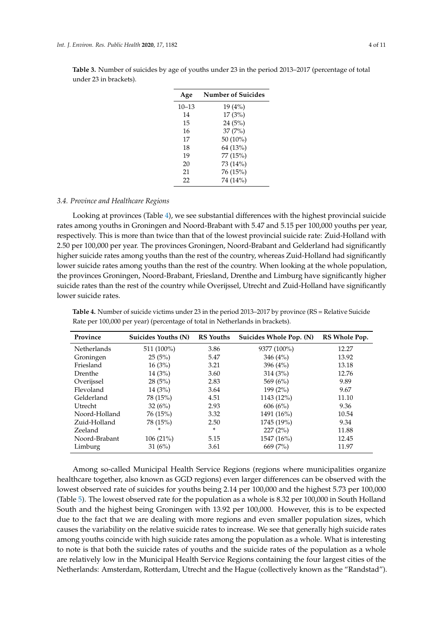| Age       | <b>Number of Suicides</b> |
|-----------|---------------------------|
| $10 - 13$ | 19(4%)                    |
| 14        | 17(3%)                    |
| 15        | 24(5%)                    |
| 16        | 37(7%)                    |
| 17        | 50 (10%)                  |
| 18        | 64 (13%)                  |
| 19        | 77 (15%)                  |
| 20        | 73 (14%)                  |
| 21        | 76 (15%)                  |
| 22        | 74 (14%)                  |
|           |                           |

<span id="page-3-0"></span>**Table 3.** Number of suicides by age of youths under 23 in the period 2013–2017 (percentage of total under 23 in brackets).

## *3.4. Province and Healthcare Regions*

Looking at provinces (Table [4\)](#page-3-1), we see substantial differences with the highest provincial suicide rates among youths in Groningen and Noord-Brabant with 5.47 and 5.15 per 100,000 youths per year, respectively. This is more than twice than that of the lowest provincial suicide rate: Zuid-Holland with 2.50 per 100,000 per year. The provinces Groningen, Noord-Brabant and Gelderland had significantly higher suicide rates among youths than the rest of the country, whereas Zuid-Holland had significantly lower suicide rates among youths than the rest of the country. When looking at the whole population, the provinces Groningen, Noord-Brabant, Friesland, Drenthe and Limburg have significantly higher suicide rates than the rest of the country while Overijssel, Utrecht and Zuid-Holland have significantly lower suicide rates.

| Province           | Suicides Youths (N) | <b>RS</b> Youths | Suicides Whole Pop. (N) | RS Whole Pop. |
|--------------------|---------------------|------------------|-------------------------|---------------|
| <b>Netherlands</b> | 511 (100%)          | 3.86             | 9377 (100%)             | 12.27         |
| Groningen          | 25(5%)              | 5.47             | 346 $(4\%)$             | 13.92         |
| Friesland          | 16(3%)              | 3.21             | 396 $(4\%)$             | 13.18         |
| Drenthe            | 14(3%)              | 3.60             | 314(3%)                 | 12.76         |
| Overijssel         | 28(5%)              | 2.83             | 569 $(6%)$              | 9.89          |
| Flevoland          | 14(3%)              | 3.64             | 199(2%)                 | 9.67          |
| Gelderland         | 78 (15%)            | 4.51             | 1143 (12%)              | 11.10         |
| Utrecht            | 32(6%)              | 2.93             | 606(6%)                 | 9.36          |
| Noord-Holland      | 76(15%)             | 3.32             | 1491 (16%)              | 10.54         |
| Zuid-Holland       | 78 (15%)            | 2.50             | 1745 (19%)              | 9.34          |
| Zeeland            | *                   | *                | 227(2%)                 | 11.88         |
| Noord-Brabant      | 106(21%)            | 5.15             | 1547 (16%)              | 12.45         |
| Limburg            | 31 $(6%)$           | 3.61             | 669 (7%)                | 11.97         |

<span id="page-3-1"></span>**Table 4.** Number of suicide victims under 23 in the period 2013–2017 by province (RS = Relative Suicide Rate per 100,000 per year) (percentage of total in Netherlands in brackets).

Among so-called Municipal Health Service Regions (regions where municipalities organize healthcare together, also known as GGD regions) even larger differences can be observed with the lowest observed rate of suicides for youths being 2.14 per 100,000 and the highest 5.73 per 100,000 (Table [5\)](#page-4-0). The lowest observed rate for the population as a whole is 8.32 per 100,000 in South Holland South and the highest being Groningen with 13.92 per 100,000. However, this is to be expected due to the fact that we are dealing with more regions and even smaller population sizes, which causes the variability on the relative suicide rates to increase. We see that generally high suicide rates among youths coincide with high suicide rates among the population as a whole. What is interesting to note is that both the suicide rates of youths and the suicide rates of the population as a whole are relatively low in the Municipal Health Service Regions containing the four largest cities of the Netherlands: Amsterdam, Rotterdam, Utrecht and the Hague (collectively known as the "Randstad").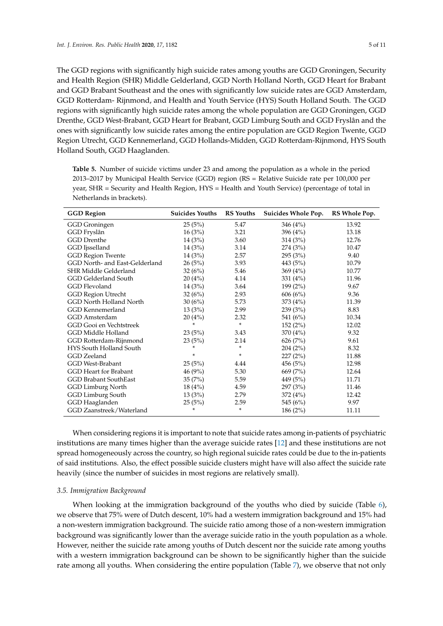The GGD regions with significantly high suicide rates among youths are GGD Groningen, Security and Health Region (SHR) Middle Gelderland, GGD North Holland North, GGD Heart for Brabant and GGD Brabant Southeast and the ones with significantly low suicide rates are GGD Amsterdam, GGD Rotterdam- Rijnmond, and Health and Youth Service (HYS) South Holland South. The GGD regions with significantly high suicide rates among the whole population are GGD Groningen, GGD Drenthe, GGD West-Brabant, GGD Heart for Brabant, GGD Limburg South and GGD Fryslân and the ones with significantly low suicide rates among the entire population are GGD Region Twente, GGD Region Utrecht, GGD Kennemerland, GGD Hollands-Midden, GGD Rotterdam-Rijnmond, HYS South Holland South, GGD Haaglanden.

<span id="page-4-0"></span>**Table 5.** Number of suicide victims under 23 and among the population as a whole in the period 2013–2017 by Municipal Health Service (GGD) region (RS = Relative Suicide rate per 100,000 per year, SHR = Security and Health Region, HYS = Health and Youth Service) (percentage of total in Netherlands in brackets).

| <b>GGD Region</b>              | <b>Suicides Youths</b> | <b>RS</b> Youths | Suicides Whole Pop. | RS Whole Pop. |
|--------------------------------|------------------------|------------------|---------------------|---------------|
| GGD Groningen                  | 25(5%)                 | 5.47             | 346(4%)             | 13.92         |
| GGD Fryslân                    | 16(3%)                 | 3.21             | 396 (4%)            | 13.18         |
| <b>GGD</b> Drenthe             | 14(3%)                 | 3.60             | 314(3%)             | 12.76         |
| GGD Ijsselland                 | 14(3%)                 | 3.14             | 274 (3%)            | 10.47         |
| <b>GGD Region Twente</b>       | 14(3%)                 | 2.57             | 295(3%)             | 9.40          |
| GGD North- and East-Gelderland | 26(5%)                 | 3.93             | 443 (5%)            | 10.79         |
| SHR Middle Gelderland          | 32(6%)                 | 5.46             | 369(4%              | 10.77         |
| GGD Gelderland South           | 20(4%)                 | 4.14             | 331 $(4%)$          | 11.96         |
| <b>GGD Flevoland</b>           | 14(3%)                 | 3.64             | 199(2%)             | 9.67          |
| <b>GGD Region Utrecht</b>      | 32(6%)                 | 2.93             | 606(6%)             | 9.36          |
| GGD North Holland North        | 30(6%)                 | 5.73             | 373(4%)             | 11.39         |
| <b>GGD</b> Kennemerland        | 13(3%)                 | 2.99             | 239(3%)             | 8.83          |
| GGD Amsterdam                  | 20(4%)                 | 2.32             | 541 (6%)            | 10.34         |
| GGD Gooi en Vechtstreek        | *                      | $\ast$           | 152(2%)             | 12.02         |
| GGD Middle Holland             | 23(5%)                 | 3.43             | 370 (4%)            | 9.32          |
| GGD Rotterdam-Rijnmond         | 23(5%)                 | 2.14             | 626(7%)             | 9.61          |
| HYS South Holland South        | *                      | *                | 204(2%)             | 8.32          |
| GGD Zeeland                    | *                      | ×.               | 227(2%)             | 11.88         |
| <b>GGD West-Brabant</b>        | 25(5%)                 | 4.44             | 456(5%)             | 12.98         |
| <b>GGD</b> Heart for Brabant   | 46(9%)                 | 5.30             | 669 (7%)            | 12.64         |
| <b>GGD Brabant SouthEast</b>   | 35(7%)                 | 5.59             | 449 (5%)            | 11.71         |
| <b>GGD Limburg North</b>       | 18(4%)                 | 4.59             | 297(3%)             | 11.46         |
| GGD Limburg South              | 13(3%)                 | 2.79             | 372(4%)             | 12.42         |
| GGD Haaglanden                 | 25(5%)                 | 2.59             | 545 (6%)            | 9.97          |
| GGD Zaanstreek/Waterland       | *                      | $\ast$           | 186(2%)             | 11.11         |

When considering regions it is important to note that suicide rates among in-patients of psychiatric institutions are many times higher than the average suicide rates [\[12\]](#page-9-8) and these institutions are not spread homogeneously across the country, so high regional suicide rates could be due to the in-patients of said institutions. Also, the effect possible suicide clusters might have will also affect the suicide rate heavily (since the number of suicides in most regions are relatively small).

## *3.5. Immigration Background*

When looking at the immigration background of the youths who died by suicide (Table [6\)](#page-5-0), we observe that 75% were of Dutch descent, 10% had a western immigration background and 15% had a non-western immigration background. The suicide ratio among those of a non-western immigration background was significantly lower than the average suicide ratio in the youth population as a whole. However, neither the suicide rate among youths of Dutch descent nor the suicide rate among youths with a western immigration background can be shown to be significantly higher than the suicide rate among all youths. When considering the entire population (Table [7\)](#page-5-1), we observe that not only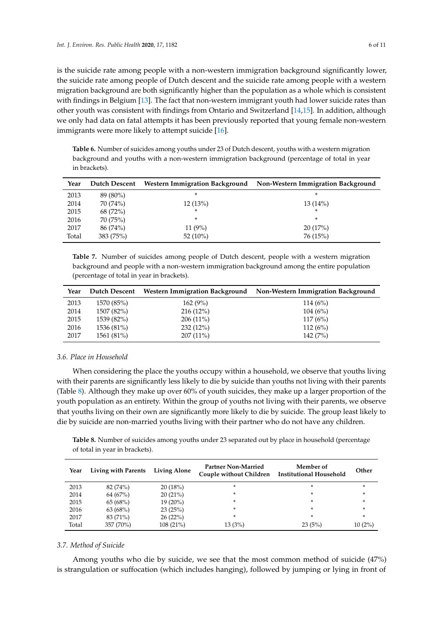is the suicide rate among people with a non-western immigration background significantly lower, the suicide rate among people of Dutch descent and the suicide rate among people with a western migration background are both significantly higher than the population as a whole which is consistent with findings in Belgium [\[13\]](#page-9-9). The fact that non-western immigrant youth had lower suicide rates than other youth was consistent with findings from Ontario and Switzerland [\[14,](#page-9-10)[15\]](#page-9-11). In addition, although we only had data on fatal attempts it has been previously reported that young female non-western immigrants were more likely to attempt suicide [\[16\]](#page-9-12).

<span id="page-5-0"></span>**Table 6.** Number of suicides among youths under 23 of Dutch descent, youths with a western migration background and youths with a non-western immigration background (percentage of total in year in brackets).

| Year  | Dutch Descent |             | Western Immigration Background Non-Western Immigration Background |
|-------|---------------|-------------|-------------------------------------------------------------------|
| 2013  | 89 (80%)      | *           | *                                                                 |
| 2014  | 70 (74%)      | 12(13%)     | 13(14%)                                                           |
| 2015  | 68 (72%)      | *           | *                                                                 |
| 2016  | 70 (75%)      | *           | *                                                                 |
| 2017  | 86 (74%)      | $11(9\%)$   | 20(17%)                                                           |
| Total | 383 (75%)     | 52 $(10\%)$ | 76 (15%)                                                          |

<span id="page-5-1"></span>**Table 7.** Number of suicides among people of Dutch descent, people with a western migration background and people with a non-western immigration background among the entire population (percentage of total in year in brackets).

| Year | Dutch Descent |             | Western Immigration Background Non-Western Immigration Background |
|------|---------------|-------------|-------------------------------------------------------------------|
| 2013 | 1570 (85%)    | 162(9%)     | 114(6%)                                                           |
| 2014 | 1507 (82%)    | $216(12\%)$ | 104(6%)                                                           |
| 2015 | 1539 (82%)    | $206(11\%)$ | 117(6%)                                                           |
| 2016 | 1536 (81%)    | 232(12%)    | 112(6%)                                                           |
| 2017 | 1561 (81%)    | $207(11\%)$ | 142(7%)                                                           |

## *3.6. Place in Household*

When considering the place the youths occupy within a household, we observe that youths living with their parents are significantly less likely to die by suicide than youths not living with their parents (Table [8\)](#page-5-2). Although they make up over 60% of youth suicides, they make up a larger proportion of the youth population as an entirety. Within the group of youths not living with their parents, we observe that youths living on their own are significantly more likely to die by suicide. The group least likely to die by suicide are non-married youths living with their partner who do not have any children.

<span id="page-5-2"></span>**Table 8.** Number of suicides among youths under 23 separated out by place in household (percentage of total in year in brackets).

| Year  | Living with Parents | <b>Living Alone</b> | <b>Partner Non-Married</b><br>Couple without Children | Member of<br><b>Institutional Household</b> | Other     |
|-------|---------------------|---------------------|-------------------------------------------------------|---------------------------------------------|-----------|
| 2013  | 82 (74%)            | 20(18%)             | $\ast$                                                | *                                           | ×         |
| 2014  | 64 (67%)            | 20(21%)             | $\ast$                                                | *                                           | ÷         |
| 2015  | 65(68%)             | $19(20\%)$          | $\ast$                                                | *                                           | ÷         |
| 2016  | 63(68%)             | 23(25%)             | $\ast$                                                | *                                           | *         |
| 2017  | 83 (71%)            | 26(22%)             | $\ast$                                                | *                                           | $\ast$    |
| Total | 357 (70%)           | 108 (21%)           | 13(3%)                                                | 23(5%)                                      | $10(2\%)$ |

## *3.7. Method of Suicide*

Among youths who die by suicide, we see that the most common method of suicide (47%) is strangulation or suffocation (which includes hanging), followed by jumping or lying in front of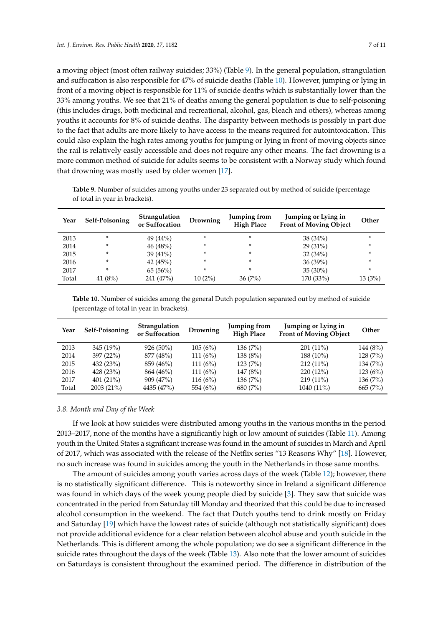a moving object (most often railway suicides; 33%) (Table [9\)](#page-6-0). In the general population, strangulation and suffocation is also responsible for 47% of suicide deaths (Table [10\)](#page-6-1). However, jumping or lying in front of a moving object is responsible for 11% of suicide deaths which is substantially lower than the 33% among youths. We see that 21% of deaths among the general population is due to self-poisoning (this includes drugs, both medicinal and recreational, alcohol, gas, bleach and others), whereas among youths it accounts for 8% of suicide deaths. The disparity between methods is possibly in part due to the fact that adults are more likely to have access to the means required for autointoxication. This could also explain the high rates among youths for jumping or lying in front of moving objects since the rail is relatively easily accessible and does not require any other means. The fact drowning is a more common method of suicide for adults seems to be consistent with a Norway study which found that drowning was mostly used by older women [\[17\]](#page-9-13).

<span id="page-6-0"></span>**Table 9.** Number of suicides among youths under 23 separated out by method of suicide (percentage of total in year in brackets).

| Year  | Self-Poisoning | <b>Strangulation</b><br>or Suffocation | Drowning | Jumping from<br><b>High Place</b> | Jumping or Lying in<br><b>Front of Moving Object</b> | Other  |
|-------|----------------|----------------------------------------|----------|-----------------------------------|------------------------------------------------------|--------|
| 2013  | ÷              | 49 (44%)                               | *        | *                                 | $38(34\%)$                                           | ×.     |
| 2014  | ÷              | 46(48%)                                | *        | *                                 | $29(31\%)$                                           | *      |
| 2015  | ÷              | 39 $(41\%)$                            | *        | *                                 | 32(34%)                                              | ×.     |
| 2016  | ÷              | 42 $(45%)$                             | *        | *                                 | $36(39\%)$                                           | *      |
| 2017  | ÷              | 65(56%)                                | *        | *                                 | $35(30\%)$                                           | *      |
| Total | 41 $(8%)$      | 241 (47%)                              | 10(2%)   | 36(7%)                            | 170 (33%)                                            | 13(3%) |

<span id="page-6-1"></span>**Table 10.** Number of suicides among the general Dutch population separated out by method of suicide (percentage of total in year in brackets).

| Year  | Self-Poisoning | <b>Strangulation</b><br>or Suffocation | Drowning | Jumping from<br><b>High Place</b> | Jumping or Lying in<br><b>Front of Moving Object</b> | Other    |
|-------|----------------|----------------------------------------|----------|-----------------------------------|------------------------------------------------------|----------|
| 2013  | 345 (19%)      | $926(50\%)$                            | 105(6%)  | 136(7%)                           | $201(11\%)$                                          | 144 (8%) |
| 2014  | 397(22%)       | 877 (48%)                              | 111(6%)  | 138 (8%)                          | 188 (10%)                                            | 128(7%)  |
| 2015  | 432 (23%)      | 859 (46%)                              | 111(6%)  | 123(7%)                           | $212(11\%)$                                          | 134(7%)  |
| 2016  | 428(23%)       | 864 (46%)                              | 111(6%)  | 147 (8%)                          | $220(12\%)$                                          | 123(6%)  |
| 2017  | $401(21\%)$    | 909 (47%)                              | 116(6%)  | 136(7%)                           | $219(11\%)$                                          | 136(7%)  |
| Total | 2003 (21%)     | 4435 (47%)                             | 554 (6%) | 680 (7%)                          | 1040 (11%)                                           | 665(7%)  |

#### *3.8. Month and Day of the Week*

If we look at how suicides were distributed among youths in the various months in the period 2013–2017, none of the months have a significantly high or low amount of suicides (Table [11\)](#page-7-0). Among youth in the United States a significant increase was found in the amount of suicides in March and April of 2017, which was associated with the release of the Netflix series "13 Reasons Why" [\[18\]](#page-9-14). However, no such increase was found in suicides among the youth in the Netherlands in those same months.

The amount of suicides among youth varies across days of the week (Table [12\)](#page-7-1); however, there is no statistically significant difference. This is noteworthy since in Ireland a significant difference was found in which days of the week young people died by suicide [\[3\]](#page-9-15). They saw that suicide was concentrated in the period from Saturday till Monday and theorized that this could be due to increased alcohol consumption in the weekend. The fact that Dutch youths tend to drink mostly on Friday and Saturday [\[19\]](#page-9-16) which have the lowest rates of suicide (although not statistically significant) does not provide additional evidence for a clear relation between alcohol abuse and youth suicide in the Netherlands. This is different among the whole population; we do see a significant difference in the suicide rates throughout the days of the week (Table [13\)](#page-7-2). Also note that the lower amount of suicides on Saturdays is consistent throughout the examined period. The difference in distribution of the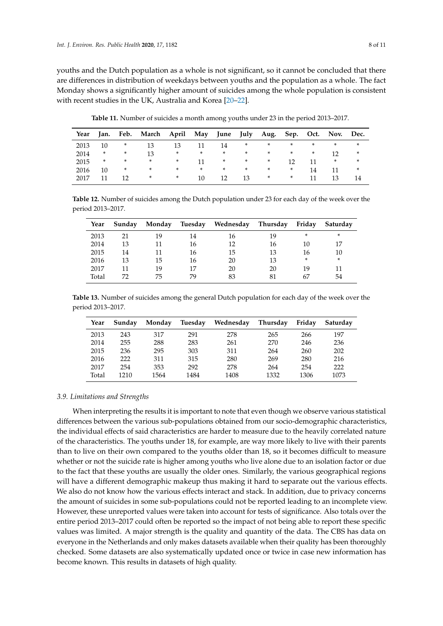youths and the Dutch population as a whole is not significant, so it cannot be concluded that there are differences in distribution of weekdays between youths and the population as a whole. The fact Monday shows a significantly higher amount of suicides among the whole population is consistent with recent studies in the UK, Australia and Korea [\[20](#page-9-17)[–22\]](#page-10-0).

**Table 11.** Number of suicides a month among youths under 23 in the period 2013–2017.

<span id="page-7-0"></span>

|      |    |        | Year Jan. Feb. March April May June July Aug. Sep. Oct. Nov. Dec. |        |     |        |        |        |                 |        |              |        |
|------|----|--------|-------------------------------------------------------------------|--------|-----|--------|--------|--------|-----------------|--------|--------------|--------|
| 2013 | 10 | $\ast$ | 13                                                                | 13     | 11  | 14     | *      | $*$    | $\ast$          | $\ast$ | $\ast$       | $\ast$ |
| 2014 | *  | *      | 13                                                                | $\ast$ | $*$ | $\ast$ | $\ast$ | $\ast$ | $\ast$          | $\ast$ | $12^{\circ}$ | *      |
| 2015 | *  | $\ast$ | $\ast$                                                            | $\ast$ | 11  | $*$    | $\ast$ | $\ast$ | 12 <sup>°</sup> | 11     | $\ast$       | $\ast$ |
| 2016 | 10 | $\ast$ | $\ast$                                                            | $\ast$ | $*$ | $\ast$ | $\ast$ | $\ast$ | $\ast$          | 14     |              | $\ast$ |
| 2017 |    | 12     | $\ast$                                                            | $*$    | 10  | 12     | 13     | $\ast$ | *               |        | 13           |        |

<span id="page-7-1"></span>**Table 12.** Number of suicides among the Dutch population under 23 for each day of the week over the period 2013–2017.

| Year  | Sunday | Monday | Tuesdav | Wednesday | Thursday | Friday | Saturday |
|-------|--------|--------|---------|-----------|----------|--------|----------|
| 2013  | 21     | 19     | 14      | 16        | 19       | *      | $\ast$   |
| 2014  | 13     | 11     | 16      | 12        | 16       | 10     | 17       |
| 2015  | 14     | 11     | 16      | 15        | 13       | 16     | 10       |
| 2016  | 13     | 15     | 16      | 20        | 13       | *      | $\ast$   |
| 2017  |        | 19     | 17      | 20        | 20       | 19     | 11       |
| Total | 77     | 75     | 79      | 83        | 81       | 67     | 54       |

<span id="page-7-2"></span>**Table 13.** Number of suicides among the general Dutch population for each day of the week over the period 2013–2017.

| Year  | Sunday | Monday | Tuesday | Wednesday | Thursday | Friday | Saturday |
|-------|--------|--------|---------|-----------|----------|--------|----------|
| 2013  | 243    | 317    | 291     | 278       | 265      | 266    | 197      |
| 2014  | 255    | 288    | 283     | 261       | 270      | 246    | 236      |
| 2015  | 236    | 295    | 303     | 311       | 264      | 260    | 202      |
| 2016  | 222    | 311    | 315     | 280       | 269      | 280    | 216      |
| 2017  | 254    | 353    | 292     | 278       | 264      | 254    | 222      |
| Total | 1210   | 1564   | 1484    | 1408      | 1332     | 1306   | 1073     |

## *3.9. Limitations and Strengths*

When interpreting the results it is important to note that even though we observe various statistical differences between the various sub-populations obtained from our socio-demographic characteristics, the individual effects of said characteristics are harder to measure due to the heavily correlated nature of the characteristics. The youths under 18, for example, are way more likely to live with their parents than to live on their own compared to the youths older than 18, so it becomes difficult to measure whether or not the suicide rate is higher among youths who live alone due to an isolation factor or due to the fact that these youths are usually the older ones. Similarly, the various geographical regions will have a different demographic makeup thus making it hard to separate out the various effects. We also do not know how the various effects interact and stack. In addition, due to privacy concerns the amount of suicides in some sub-populations could not be reported leading to an incomplete view. However, these unreported values were taken into account for tests of significance. Also totals over the entire period 2013–2017 could often be reported so the impact of not being able to report these specific values was limited. A major strength is the quality and quantity of the data. The CBS has data on everyone in the Netherlands and only makes datasets available when their quality has been thoroughly checked. Some datasets are also systematically updated once or twice in case new information has become known. This results in datasets of high quality.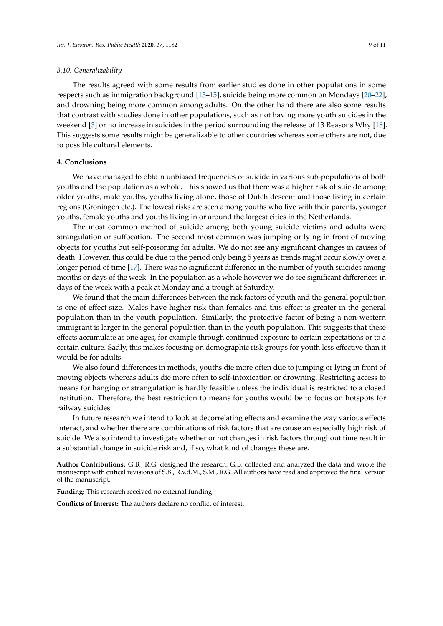#### *3.10. Generalizability*

The results agreed with some results from earlier studies done in other populations in some respects such as immigration background [\[13–](#page-9-9)[15\]](#page-9-11), suicide being more common on Mondays [\[20](#page-9-17)[–22\]](#page-10-0), and drowning being more common among adults. On the other hand there are also some results that contrast with studies done in other populations, such as not having more youth suicides in the weekend [\[3\]](#page-9-15) or no increase in suicides in the period surrounding the release of 13 Reasons Why [\[18\]](#page-9-14). This suggests some results might be generalizable to other countries whereas some others are not, due to possible cultural elements.

## **4. Conclusions**

We have managed to obtain unbiased frequencies of suicide in various sub-populations of both youths and the population as a whole. This showed us that there was a higher risk of suicide among older youths, male youths, youths living alone, those of Dutch descent and those living in certain regions (Groningen etc.). The lowest risks are seen among youths who live with their parents, younger youths, female youths and youths living in or around the largest cities in the Netherlands.

The most common method of suicide among both young suicide victims and adults were strangulation or suffocation. The second most common was jumping or lying in front of moving objects for youths but self-poisoning for adults. We do not see any significant changes in causes of death. However, this could be due to the period only being 5 years as trends might occur slowly over a longer period of time [\[17\]](#page-9-13). There was no significant difference in the number of youth suicides among months or days of the week. In the population as a whole however we do see significant differences in days of the week with a peak at Monday and a trough at Saturday.

We found that the main differences between the risk factors of youth and the general population is one of effect size. Males have higher risk than females and this effect is greater in the general population than in the youth population. Similarly, the protective factor of being a non-western immigrant is larger in the general population than in the youth population. This suggests that these effects accumulate as one ages, for example through continued exposure to certain expectations or to a certain culture. Sadly, this makes focusing on demographic risk groups for youth less effective than it would be for adults.

We also found differences in methods, youths die more often due to jumping or lying in front of moving objects whereas adults die more often to self-intoxication or drowning. Restricting access to means for hanging or strangulation is hardly feasible unless the individual is restricted to a closed institution. Therefore, the best restriction to means for youths would be to focus on hotspots for railway suicides.

In future research we intend to look at decorrelating effects and examine the way various effects interact, and whether there are combinations of risk factors that are cause an especially high risk of suicide. We also intend to investigate whether or not changes in risk factors throughout time result in a substantial change in suicide risk and, if so, what kind of changes these are.

**Author Contributions:** G.B., R.G. designed the research; G.B. collected and analyzed the data and wrote the manuscript with critical revisions of S.B., R.v.d.M., S.M., R.G. All authors have read and approved the final version of the manuscript.

**Funding:** This research received no external funding.

**Conflicts of Interest:** The authors declare no conflict of interest.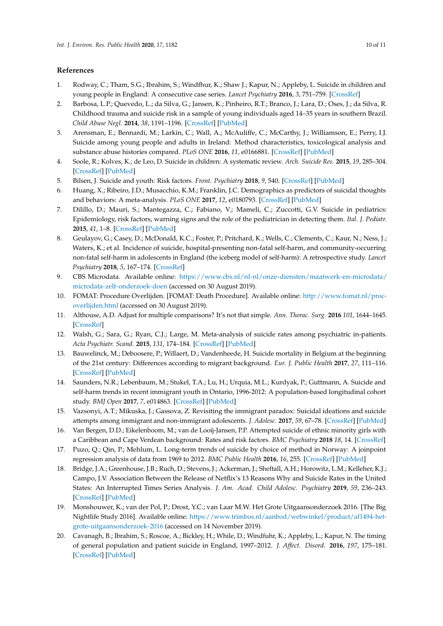# **References**

- <span id="page-9-0"></span>1. Rodway, C.; Tham, S.G.; Ibrahim, S.; Windfhur, K.; Shaw J.; Kapur, N.; Appleby, L. Suicide in children and young people in England: A consecutive case series. *Lancet Psychiatry* **2016**, *3*, 751–759. [\[CrossRef\]](http://dx.doi.org/10.1016/S2215-0366(16)30094-3)
- 2. Barbosa, L.P.; Quevedo, L.; da Silva, G.; Jansen, K.; Pinheiro, R.T.; Branco, J.; Lara, D.; Oses, J.; da Silva, R. Childhood trauma and suicide risk in a sample of young individuals aged 14–35 years in southern Brazil. *Child Abuse Negl.* **2014**, *38*, 1191–1196. [\[CrossRef\]](http://dx.doi.org/10.1016/j.chiabu.2014.02.008) [\[PubMed\]](http://www.ncbi.nlm.nih.gov/pubmed/24629481)
- <span id="page-9-15"></span>3. Arensman, E.; Bennardi, M.; Larkin, C.; Wall, A.; McAuliffe, C.; McCarthy, J.; Williamson, E.; Perry, I.J. Suicide among young people and adults in Ireland: Method characteristics, toxicological analysis and substance abuse histories compared. *PLoS ONE* **2016**, *11*, e0166881. [\[CrossRef\]](http://dx.doi.org/10.1371/journal.pone.0166881) [\[PubMed\]](http://www.ncbi.nlm.nih.gov/pubmed/27898722)
- 4. Soole, R.; Kolves, K.; de Leo, D. Suicide in children: A systematic review. *Arch. Suicide Res.* **2015**, *19*, 285–304. [\[CrossRef\]](http://dx.doi.org/10.1080/13811118.2014.996694) [\[PubMed\]](http://www.ncbi.nlm.nih.gov/pubmed/25517290)
- <span id="page-9-1"></span>5. Bilsen, J. Suicide and youth: Risk factors. *Front. Psychiatry* **2018**, *9*, 540. [\[CrossRef\]](http://dx.doi.org/10.3389/fpsyt.2018.00540) [\[PubMed\]](http://www.ncbi.nlm.nih.gov/pubmed/30425663)
- <span id="page-9-2"></span>6. Huang, X.; Ribeiro, J.D.; Musacchio, K.M.; Franklin, J.C. Demographics as predictors of suicidal thoughts and behaviors: A meta-analysis. *PLoS ONE* **2017**, *12*, e0180793. [\[CrossRef\]](http://dx.doi.org/10.1371/journal.pone.0180793) [\[PubMed\]](http://www.ncbi.nlm.nih.gov/pubmed/28700728)
- <span id="page-9-3"></span>7. Dilillo, D.; Mauri, S.; Mantegazza, C.; Fabiano, V.; Mameli, C.; Zuccotti, G.V. Suicide in pediatrics: Epidemiology, risk factors, warning signs and the role of the pediatrician in detecting them. *Ital. J. Pediatr.* **2015**, *41*, 1–8. [\[CrossRef\]](http://dx.doi.org/10.1186/s13052-015-0153-3) [\[PubMed\]](http://www.ncbi.nlm.nih.gov/pubmed/26149466)
- <span id="page-9-4"></span>8. Geulayov, G.; Casey, D.; McDonald, K.C.; Foster, P.; Pritchard, K.; Wells, C.; Clements, C.; Kaur, N.; Ness, J.; Waters, K.; et al. Incidence of suicide, hospital-presenting non-fatal self-harm, and community-occurring non-fatal self-harm in adolescents in England (the iceberg model of self-harm): A retrospective study. *Lancet Psychiatry* **2018**, *5*, 167–174. [\[CrossRef\]](http://dx.doi.org/10.1016/S2215-0366(17)30478-9)
- <span id="page-9-5"></span>9. CBS Microdata. Available online: [https://www.cbs.nl/nl-nl/onze-diensten/maatwerk-en-microdata/](https://www.cbs.nl/nl-nl/onze-diensten/maatwerk-en-microdata/microdata-zelf-onderzoek-doen) [microdata-zelf-onderzoek-doen](https://www.cbs.nl/nl-nl/onze-diensten/maatwerk-en-microdata/microdata-zelf-onderzoek-doen) (accessed on 30 August 2019).
- <span id="page-9-6"></span>10. FOMAT: Procedure Overlijden. [FOMAT: Death Procedure]. Available online: [http://www.fomat.nl/proc](http://www.fomat.nl/proc-overlijden.html)[overlijden.html](http://www.fomat.nl/proc-overlijden.html) (accessed on 30 August 2019).
- <span id="page-9-7"></span>11. Althouse, A.D. Adjust for multiple comparisons? It's not that simple. *Ann. Thorac. Surg.* **2016** *101*, 1644–1645. [\[CrossRef\]](http://dx.doi.org/10.1016/j.athoracsur.2015.11.024)
- <span id="page-9-8"></span>12. Walsh, G.; Sara, G.; Ryan, C.J.; Large, M. Meta-analysis of suicide rates among psychiatric in-patients. *Acta Psychiatr. Scand.* **2015**, *131*, 174–184. [\[CrossRef\]](http://dx.doi.org/10.1111/acps.12383) [\[PubMed\]](http://www.ncbi.nlm.nih.gov/pubmed/25559375)
- <span id="page-9-9"></span>13. Bauwelinck, M.; Deboosere, P.; Willaert, D.; Vandenheede, H. Suicide mortality in Belgium at the beginning of the 21st century: Differences according to migrant background. *Eur. J. Public Health* **2017**, *27*, 111–116. [\[CrossRef\]](http://dx.doi.org/10.1093/eurpub/ckw159) [\[PubMed\]](http://www.ncbi.nlm.nih.gov/pubmed/28177447)
- <span id="page-9-10"></span>14. Saunders, N.R.; Lebenbaum, M.; Stukel, T.A.; Lu, H.; Urquia, M.L.; Kurdyak, P.; Guttmann, A. Suicide and self-harm trends in recent immigrant youth in Ontario, 1996-2012: A population-based longitudinal cohort study. *BMJ Open* **2017**, *7*, e014863. [\[CrossRef\]](http://dx.doi.org/10.1136/bmjopen-2016-014863) [\[PubMed\]](http://www.ncbi.nlm.nih.gov/pubmed/28864687)
- <span id="page-9-11"></span>15. Vazsonyi, A.T.; Mikuska, J.; Gassova, Z. Revisiting the immigrant paradox: Suicidal ideations and suicide attempts among immigrant and non-immigrant adolescents. *J. Adolesc.* **2017**, *59*, 67–78. [\[CrossRef\]](http://dx.doi.org/10.1016/j.adolescence.2017.05.008) [\[PubMed\]](http://www.ncbi.nlm.nih.gov/pubmed/28582652)
- <span id="page-9-12"></span>16. Van Bergen, D.D.; Eikelenboom, M.; van de Looij-Jansen, P.P. Attempted suicide of ethnic minority girls with a Caribbean and Cape Verdean background: Rates and risk factors. *BMC Psychiatry* **2018** *18*, 14. [\[CrossRef\]](http://dx.doi.org/10.1186/s12888-017-1585-7)
- <span id="page-9-13"></span>17. Puzo, Q.; Qin, P.; Mehlum, L. Long-term trends of suicide by choice of method in Norway: A joinpoint regression analysis of data from 1969 to 2012. *BMC Public Health* **2016**, *16*, 255. [\[CrossRef\]](http://dx.doi.org/10.1186/s12889-016-2919-y) [\[PubMed\]](http://www.ncbi.nlm.nih.gov/pubmed/26968155)
- <span id="page-9-14"></span>18. Bridge, J.A.; Greenhouse, J.B.; Ruch, D.; Stevens, J.; Ackerman, J.; Sheftall, A.H.; Horowitz, L.M.; Kelleher, K.J.; Campo, J.V. Association Between the Release of Netflix's 13 Reasons Why and Suicide Rates in the United States: An Interrupted Times Series Analysis. *J. Am. Acad. Child Adolesc. Psychiatry* **2019**, *59*, 236–243. [\[CrossRef\]](http://dx.doi.org/10.1016/j.jaac.2019.04.020) [\[PubMed\]](http://www.ncbi.nlm.nih.gov/pubmed/31042568)
- <span id="page-9-16"></span>19. Monshouwer, K.; van der Pol, P.; Drost, Y.C.; van Laar M.W. Het Grote Uitgaansonderzoek 2016. [The Big Nightlife Study 2016]. Available online: [https://www.trimbos.nl/aanbod/webwinkel/product/af1494-het](https://www.trimbos.nl/aanbod/webwinkel/product/af1494-het-grote-uitgaansonderzoek-2016)[grote-uitgaansonderzoek-2016](https://www.trimbos.nl/aanbod/webwinkel/product/af1494-het-grote-uitgaansonderzoek-2016) (accessed on 14 November 2019).
- <span id="page-9-17"></span>20. Cavanagh, B.; Ibrahim, S.; Roscoe, A.; Bickley, H.; While, D.; Windfuhr, K.; Appleby, L.; Kapur, N. The timing of general population and patient suicide in England, 1997–2012. *J. Affect. Disord.* **2016**, *197*, 175–181. [\[CrossRef\]](http://dx.doi.org/10.1016/j.jad.2016.02.055) [\[PubMed\]](http://www.ncbi.nlm.nih.gov/pubmed/26994435)